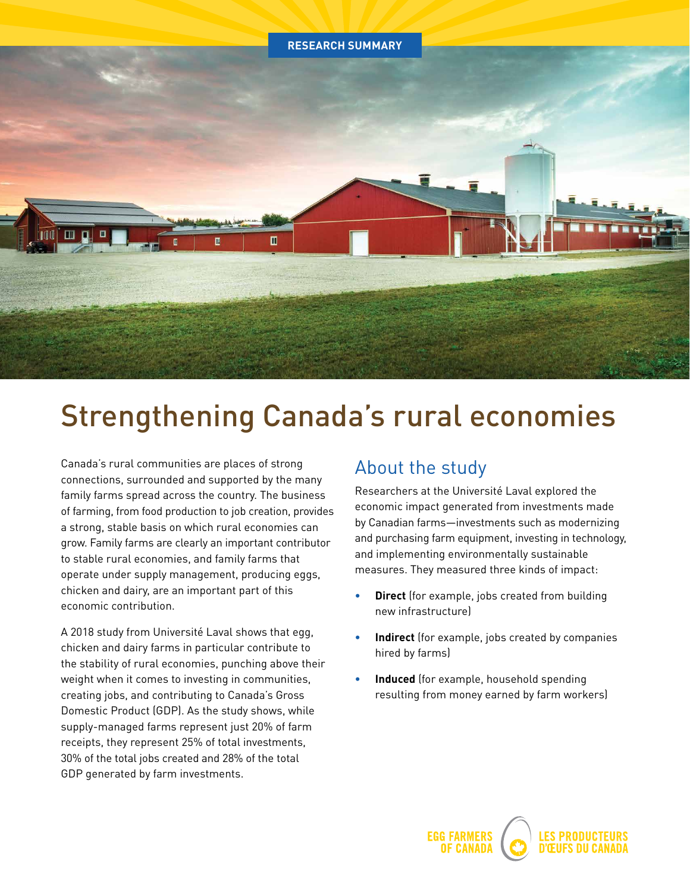

# Strengthening Canada's rural economies

Canada's rural communities are places of strong connections, surrounded and supported by the many family farms spread across the country. The business of farming, from food production to job creation, provides a strong, stable basis on which rural economies can grow. Family farms are clearly an important contributor to stable rural economies, and family farms that operate under supply management, producing eggs, chicken and dairy, are an important part of this economic contribution.

A 2018 study from Université Laval shows that egg, chicken and dairy farms in particular contribute to the stability of rural economies, punching above their weight when it comes to investing in communities, creating jobs, and contributing to Canada's Gross Domestic Product (GDP). As the study shows, while supply-managed farms represent just 20% of farm receipts, they represent 25% of total investments, 30% of the total jobs created and 28% of the total GDP generated by farm investments.

# About the study

Researchers at the Université Laval explored the economic impact generated from investments made by Canadian farms—investments such as modernizing and purchasing farm equipment, investing in technology, and implementing environmentally sustainable measures. They measured three kinds of impact:

- **• Direct** (for example, jobs created from building new infrastructure)
- **• Indirect** (for example, jobs created by companies hired by farms)
- **• Induced** (for example, household spending resulting from money earned by farm workers)

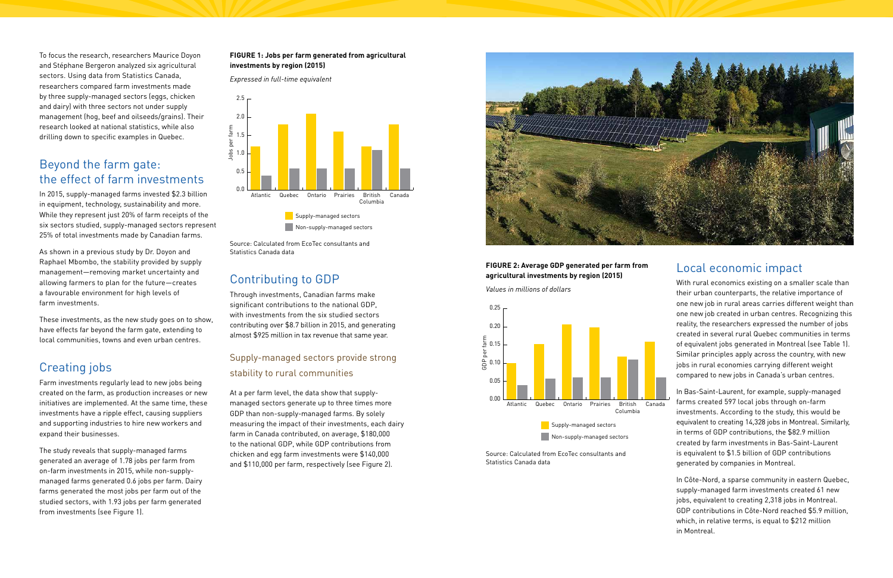To focus the research, researchers Maurice Doyon and Stéphane Bergeron analyzed six agricultural sectors. Using data from Statistics Canada, researchers compared farm investments made by three supply-managed sectors (eggs, chicken and dairy) with three sectors not under supply management (hog, beef and oilseeds/grains). Their research looked at national statistics, while also drilling down to specific examples in Quebec.

# Beyond the farm gate: the effect of farm investments

In 2015, supply-managed farms invested \$2.3 billion in equipment, technology, sustainability and more. While they represent just 20% of farm receipts of the six sectors studied, supply-managed sectors represent 25% of total investments made by Canadian farms.

As shown in a previous study by Dr. Doyon and Raphael Mbombo, the stability provided by supply management—removing market uncertainty and allowing farmers to plan for the future—creates a favourable environment for high levels of farm investments.

Through investments, Canadian farms make 0.25 significant contributions to the national GDP, 0.20 with investments from the six studied sectors contributing over \$8.7 billion in 2015, and generating almost \$925 million in tax revenue that same year.  $\frac{d}{dt}$ 

These investments, as the new study goes on to show, have effects far beyond the farm gate, extending to local communities, towns and even urban centres.

# Creating jobs

Farm investments regularly lead to new jobs being created on the farm, as production increases or new initiatives are implemented. At the same time, these investments have a ripple effect, causing suppliers and supporting industries to hire new workers and expand their businesses.

At a per farm level, the data show that supplymanaged sectors generate up to three times more GDP than non-supply-managed farms. By solely our man hon-supply-managed ranner by secory<br>measuring the impact of their investments, each dairy farm in Canada contributed, on average, \$180,000 to the national GDP, while GDP contributions from chicken and egg farm investments were \$140,000 and \$110,000 per farm, respectively (see Figure 2).

The study reveals that supply-managed farms generated an average of 1.78 jobs per farm from on-farm investments in 2015, while non-supplymanaged farms generated 0.6 jobs per farm. Dairy farms generated the most jobs per farm out of the studied sectors, with 1.93 jobs per farm generated from investments (see Figure 1).

### **FIGURE 1: Jobs per farm generated from agricultural investments by region (2015)**

*Expressed in full-time equivalent*

Source: Calculated from EcoTec consultants and Statistics Canada data

# Contributing to GDP

### **FIGURE 2: Average GDP generated per farm from agricultural investments by region (2015)**

*Values in millions of dollars*



# Local economic impact

With rural economics existing on a smaller scale than their urban counterparts, the relative importance of one new job in rural areas carries different weight than one new job created in urban centres. Recognizing this reality, the researchers expressed the number of jobs created in several rural Quebec communities in terms of equivalent jobs generated in Montreal (see Table 1). Similar principles apply across the country, with new jobs in rural economies carrying different weight compared to new jobs in Canada's urban centres.

In Bas-Saint-Laurent, for example, supply-managed farms created 597 local jobs through on-farm investments. According to the study, this would be equivalent to creating 14,328 jobs in Montreal. Similarly, in terms of GDP contributions, the \$82.9 million created by farm investments in Bas-Saint-Laurent is equivalent to \$1.5 billion of GDP contributions generated by companies in Montreal.

In Côte-Nord, a sparse community in eastern Quebec, supply-managed farm investments created 61 new jobs, equivalent to creating 2,318 jobs in Montreal. GDP contributions in Côte-Nord reached \$5.9 million, which, in relative terms, is equal to \$212 million in Montreal.





## 0.05 Supply-managed sectors provide strong stability to rural communities